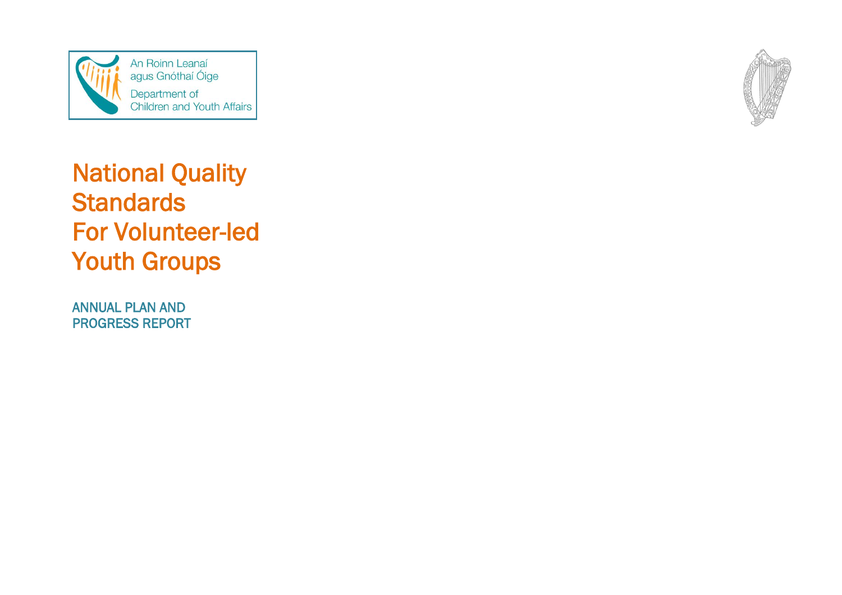



National Quality **Standards** For Volunteer-led Youth Groups

ANNUAL PLAN AND PROGRESS REPORT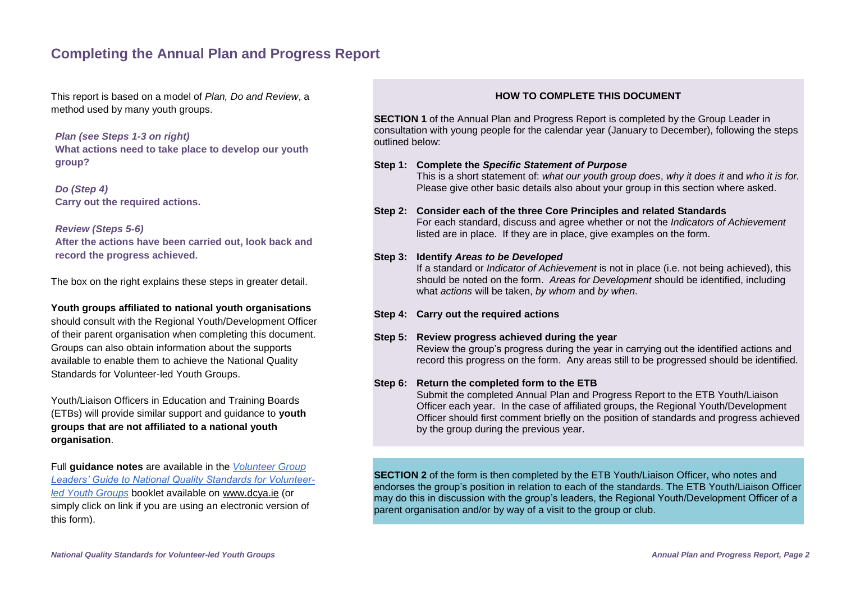# **Completing the Annual Plan and Progress Report**

This report is based on a model of *Plan, Do and Review*, a method used by many youth groups.

*Plan (see Steps 1-3 on right)* **What actions need to take place to develop our youth group?**

*Do (Step 4)* **Carry out the required actions.**

*Review (Steps 5-6)* **After the actions have been carried out, look back and record the progress achieved.**

The box on the right explains these steps in greater detail.

#### **Youth groups affiliated to national youth organisations**

should consult with the Regional Youth/Development Officer of their parent organisation when completing this document. Groups can also obtain information about the supports available to enable them to achieve the National Quality Standards for Volunteer-led Youth Groups.

Youth/Liaison Officers in Education and Training Boards (ETBs) will provide similar support and guidance to **youth groups that are not affiliated to a national youth organisation**.

Full **guidance notes** are available in the *[Volunteer Group](http://www.dcya.gov.ie/documents/youthaffairs/Youth_Standards/LeadersGuidetoNQS.pdf)  [Leaders' Guide to National Quality Standards for Volunteer](http://www.dcya.gov.ie/documents/youthaffairs/Youth_Standards/LeadersGuidetoNQS.pdf)[led Youth Groups](http://www.dcya.gov.ie/documents/youthaffairs/Youth_Standards/LeadersGuidetoNQS.pdf)* booklet available on [www.dcya.ie](http://www.dcya.ie/) (or simply click on link if you are using an electronic version of this form).

# **HOW TO COMPLETE THIS DOCUMENT**

**SECTION 1** of the Annual Plan and Progress Report is completed by the Group Leader in consultation with young people for the calendar year (January to December), following the steps outlined below:

#### **Step 1: Complete the** *Specific Statement of Purpose*

This is a short statement of: *what our youth group does*, *why it does it* and *who it is for.* Please give other basic details also about your group in this section where asked.

**Step 2: Consider each of the three Core Principles and related Standards** For each standard, discuss and agree whether or not the *Indicators of Achievement* listed are in place. If they are in place, give examples on the form.

## **Step 3: Identify** *Areas to be Developed*

If a standard or *Indicator of Achievement* is not in place (i.e. not being achieved), this should be noted on the form. *Areas for Development* should be identified, including what *actions* will be taken, *by whom* and *by when*.

**Step 4: Carry out the required actions**

## **Step 5: Review progress achieved during the year**

Review the group's progress during the year in carrying out the identified actions and record this progress on the form. Any areas still to be progressed should be identified.

### **Step 6: Return the completed form to the ETB**

Submit the completed Annual Plan and Progress Report to the ETB Youth/Liaison Officer each year. In the case of affiliated groups, the Regional Youth/Development Officer should first comment briefly on the position of standards and progress achieved by the group during the previous year.

**SECTION 2** of the form is then completed by the ETB Youth/Liaison Officer, who notes and endorses the group's position in relation to each of the standards. The ETB Youth/Liaison Officer may do this in discussion with the group's leaders, the Regional Youth/Development Officer of a parent organisation and/or by way of a visit to the group or club.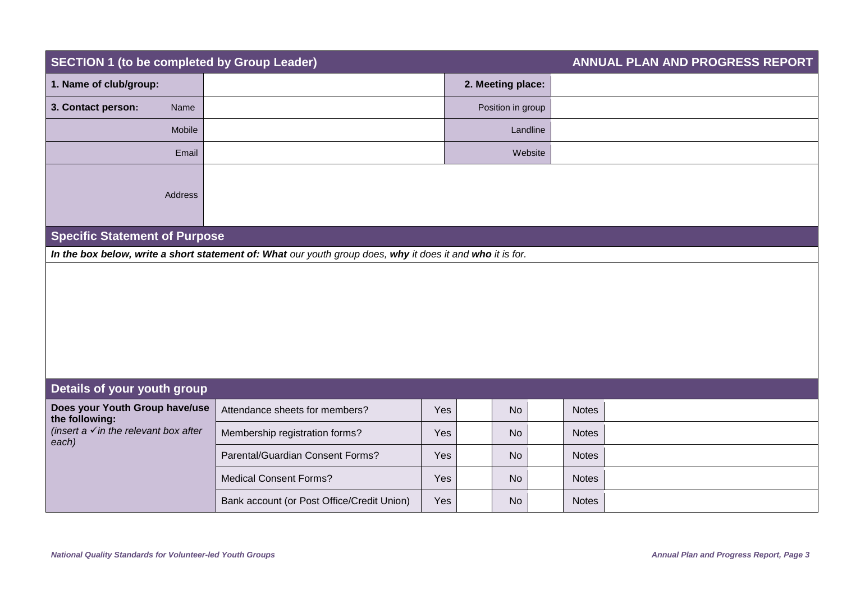| <b>SECTION 1 (to be completed by Group Leader)</b>                                                         |                                            |     | ANNUAL PLAN AND PROGRESS REPORT |              |  |  |  |  |  |
|------------------------------------------------------------------------------------------------------------|--------------------------------------------|-----|---------------------------------|--------------|--|--|--|--|--|
| 1. Name of club/group:                                                                                     |                                            |     | 2. Meeting place:               |              |  |  |  |  |  |
| 3. Contact person:<br>Name                                                                                 |                                            |     | Position in group               |              |  |  |  |  |  |
| Mobile                                                                                                     |                                            |     | Landline                        |              |  |  |  |  |  |
| Email                                                                                                      |                                            |     | Website                         |              |  |  |  |  |  |
| Address                                                                                                    |                                            |     |                                 |              |  |  |  |  |  |
| <b>Specific Statement of Purpose</b>                                                                       |                                            |     |                                 |              |  |  |  |  |  |
| In the box below, write a short statement of: What our youth group does, why it does it and who it is for. |                                            |     |                                 |              |  |  |  |  |  |
|                                                                                                            |                                            |     |                                 |              |  |  |  |  |  |
|                                                                                                            |                                            |     |                                 |              |  |  |  |  |  |
| Details of your youth group                                                                                |                                            |     |                                 |              |  |  |  |  |  |
| Does your Youth Group have/use<br>the following:                                                           | Attendance sheets for members?             | Yes | <b>No</b>                       | <b>Notes</b> |  |  |  |  |  |
| (insert a $\checkmark$ in the relevant box after<br>each)                                                  | Membership registration forms?             | Yes | <b>No</b>                       | <b>Notes</b> |  |  |  |  |  |
|                                                                                                            | Parental/Guardian Consent Forms?           | Yes | <b>No</b>                       | <b>Notes</b> |  |  |  |  |  |
|                                                                                                            | <b>Medical Consent Forms?</b>              | Yes | <b>No</b>                       | <b>Notes</b> |  |  |  |  |  |
|                                                                                                            | Bank account (or Post Office/Credit Union) | Yes | <b>No</b>                       | <b>Notes</b> |  |  |  |  |  |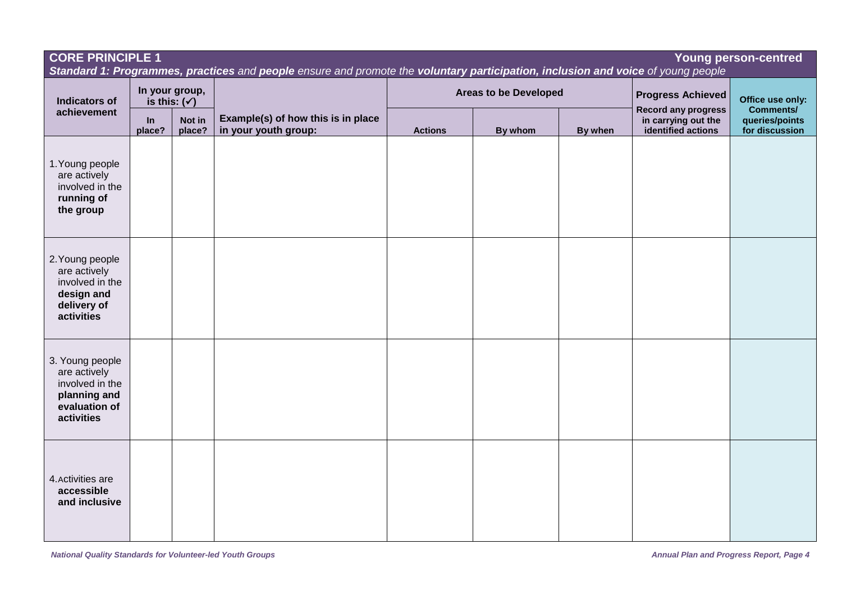| <b>CORE PRINCIPLE 1</b><br><b>Young person-centred</b><br>Standard 1: Programmes, practices and people ensure and promote the voluntary participation, inclusion and voice of young people |                                          |                  |                                                            |                |                              |                          |                                                                         |                                                      |
|--------------------------------------------------------------------------------------------------------------------------------------------------------------------------------------------|------------------------------------------|------------------|------------------------------------------------------------|----------------|------------------------------|--------------------------|-------------------------------------------------------------------------|------------------------------------------------------|
| <b>Indicators of</b>                                                                                                                                                                       | In your group,<br>is this: $(\check{v})$ |                  |                                                            |                | <b>Areas to be Developed</b> | <b>Progress Achieved</b> | Office use only:                                                        |                                                      |
| achievement                                                                                                                                                                                | In<br>place?                             | Not in<br>place? | Example(s) of how this is in place<br>in your youth group: | <b>Actions</b> | By whom                      | By when                  | <b>Record any progress</b><br>in carrying out the<br>identified actions | <b>Comments/</b><br>queries/points<br>for discussion |
| 1. Young people<br>are actively<br>involved in the<br>running of<br>the group                                                                                                              |                                          |                  |                                                            |                |                              |                          |                                                                         |                                                      |
| 2. Young people<br>are actively<br>involved in the<br>design and<br>delivery of<br>activities                                                                                              |                                          |                  |                                                            |                |                              |                          |                                                                         |                                                      |
| 3. Young people<br>are actively<br>involved in the<br>planning and<br>evaluation of<br>activities                                                                                          |                                          |                  |                                                            |                |                              |                          |                                                                         |                                                      |
| 4. Activities are<br>accessible<br>and inclusive                                                                                                                                           |                                          |                  |                                                            |                |                              |                          |                                                                         |                                                      |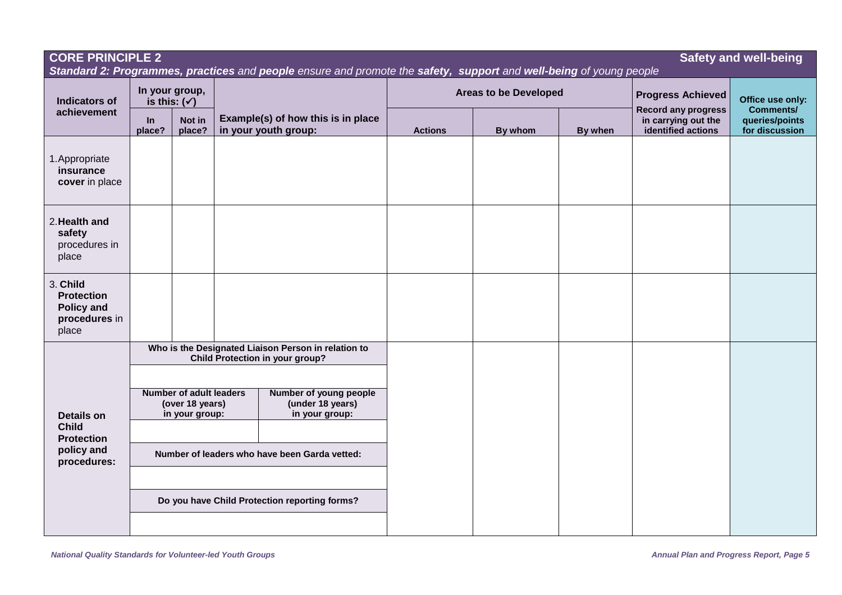| <b>CORE PRINCIPLE 2</b><br><b>Safety and well-being</b><br>Standard 2: Programmes, practices and people ensure and promote the safety, support and well-being of young people |                                                                     |                  |  |                                                                                               |                |                              |                          |                                                                         |                                                      |
|-------------------------------------------------------------------------------------------------------------------------------------------------------------------------------|---------------------------------------------------------------------|------------------|--|-----------------------------------------------------------------------------------------------|----------------|------------------------------|--------------------------|-------------------------------------------------------------------------|------------------------------------------------------|
| <b>Indicators of</b>                                                                                                                                                          | In your group,<br>is this: $(\check{v})$                            |                  |  |                                                                                               |                | <b>Areas to be Developed</b> | <b>Progress Achieved</b> | Office use only:                                                        |                                                      |
| achievement                                                                                                                                                                   | In<br>place?                                                        | Not in<br>place? |  | Example(s) of how this is in place<br>in your youth group:                                    | <b>Actions</b> | By whom                      | By when                  | <b>Record any progress</b><br>in carrying out the<br>identified actions | <b>Comments/</b><br>queries/points<br>for discussion |
| 1. Appropriate<br>insurance<br>cover in place                                                                                                                                 |                                                                     |                  |  |                                                                                               |                |                              |                          |                                                                         |                                                      |
| 2. Health and<br>safety<br>procedures in<br>place                                                                                                                             |                                                                     |                  |  |                                                                                               |                |                              |                          |                                                                         |                                                      |
| 3. Child<br><b>Protection</b><br><b>Policy and</b><br>procedures in<br>place                                                                                                  |                                                                     |                  |  |                                                                                               |                |                              |                          |                                                                         |                                                      |
|                                                                                                                                                                               |                                                                     |                  |  | Who is the Designated Liaison Person in relation to<br><b>Child Protection in your group?</b> |                |                              |                          |                                                                         |                                                      |
| <b>Details on</b><br><b>Child</b><br><b>Protection</b><br>policy and<br>procedures:                                                                                           | <b>Number of adult leaders</b><br>(over 18 years)<br>in your group: |                  |  | Number of young people<br>(under 18 years)<br>in your group:                                  |                |                              |                          |                                                                         |                                                      |
|                                                                                                                                                                               |                                                                     |                  |  | Number of leaders who have been Garda vetted:                                                 |                |                              |                          |                                                                         |                                                      |
|                                                                                                                                                                               |                                                                     |                  |  | Do you have Child Protection reporting forms?                                                 |                |                              |                          |                                                                         |                                                      |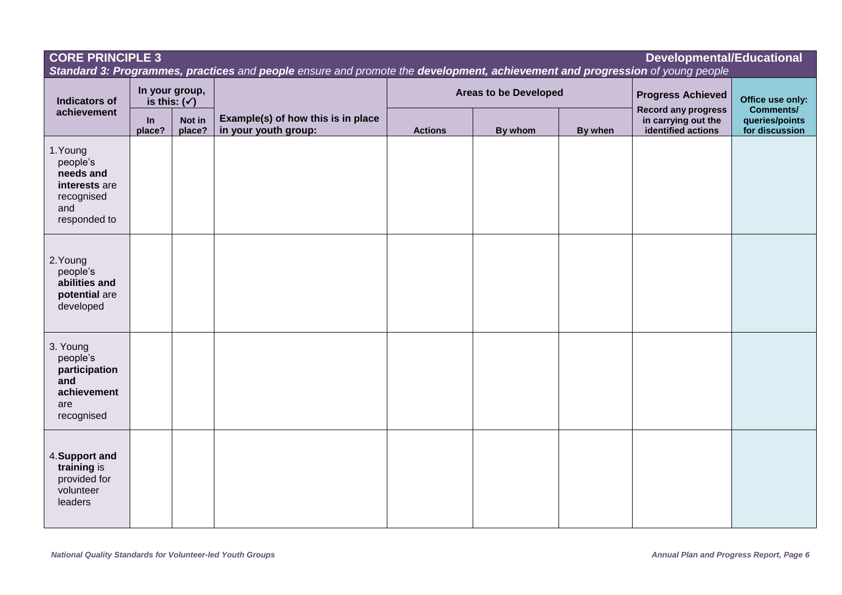| <b>CORE PRINCIPLE 3</b><br><b>Developmental/Educational</b><br>Standard 3: Programmes, practices and people ensure and promote the development, achievement and progression of young people |                                  |                  |                                                            |                |                              |                          |                                                                         |                                               |
|---------------------------------------------------------------------------------------------------------------------------------------------------------------------------------------------|----------------------------------|------------------|------------------------------------------------------------|----------------|------------------------------|--------------------------|-------------------------------------------------------------------------|-----------------------------------------------|
| <b>Indicators of</b><br>achievement                                                                                                                                                         | In your group,<br>is this: $(v)$ |                  |                                                            |                | <b>Areas to be Developed</b> | <b>Progress Achieved</b> | Office use only:                                                        |                                               |
|                                                                                                                                                                                             | In<br>place?                     | Not in<br>place? | Example(s) of how this is in place<br>in your youth group: | <b>Actions</b> | By whom                      | By when                  | <b>Record any progress</b><br>in carrying out the<br>identified actions | Comments/<br>queries/points<br>for discussion |
| 1. Young<br>people's<br>needs and<br>interests are<br>recognised<br>and<br>responded to                                                                                                     |                                  |                  |                                                            |                |                              |                          |                                                                         |                                               |
| 2. Young<br>people's<br>abilities and<br>potential are<br>developed                                                                                                                         |                                  |                  |                                                            |                |                              |                          |                                                                         |                                               |
| 3. Young<br>people's<br>participation<br>and<br>achievement<br>are<br>recognised                                                                                                            |                                  |                  |                                                            |                |                              |                          |                                                                         |                                               |
| 4. Support and<br>training is<br>provided for<br>volunteer<br>leaders                                                                                                                       |                                  |                  |                                                            |                |                              |                          |                                                                         |                                               |